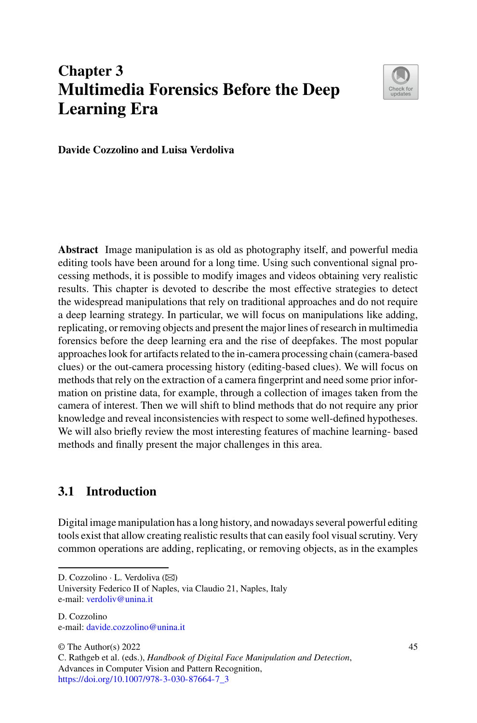# **Chapter 3 Multimedia Forensics Before the Deep Learning Era**



**Davide Cozzolino and Luisa Verdoliva**

**Abstract** Image manipulation is as old as photography itself, and powerful media editing tools have been around for a long time. Using such conventional signal processing methods, it is possible to modify images and videos obtaining very realistic results. This chapter is devoted to describe the most effective strategies to detect the widespread manipulations that rely on traditional approaches and do not require a deep learning strategy. In particular, we will focus on manipulations like adding, replicating, or removing objects and present the major lines of research in multimedia forensics before the deep learning era and the rise of deepfakes. The most popular approaches look for artifacts related to the in-camera processing chain (camera-based clues) or the out-camera processing history (editing-based clues). We will focus on methods that rely on the extraction of a camera fingerprint and need some prior information on pristine data, for example, through a collection of images taken from the camera of interest. Then we will shift to blind methods that do not require any prior knowledge and reveal inconsistencies with respect to some well-defined hypotheses. We will also briefly review the most interesting features of machine learning- based methods and finally present the major challenges in this area.

## **3.1 Introduction**

Digital image manipulation has a long history, and nowadays several powerful editing tools exist that allow creating realistic results that can easily fool visual scrutiny. Very common operations are adding, replicating, or removing objects, as in the examples

D. Cozzolino · L. Verdoliva ( $\boxtimes$ )

University Federico II of Naples, via Claudio 21, Naples, Italy e-mail: [verdoliv@unina.it](mailto:verdoliv@unina.it)

D. Cozzolino e-mail: [davide.cozzolino@unina.it](mailto:davide.cozzolino@unina.it)

<sup>©</sup> The Author(s) 2022

C. Rathgeb et al. (eds.), *Handbook of Digital Face Manipulation and Detection*, Advances in Computer Vision and Pattern Recognition, [https://doi.org/10.1007/978-3-030-87664-7\\_3](https://doi.org/10.1007/978-3-030-87664-7_3)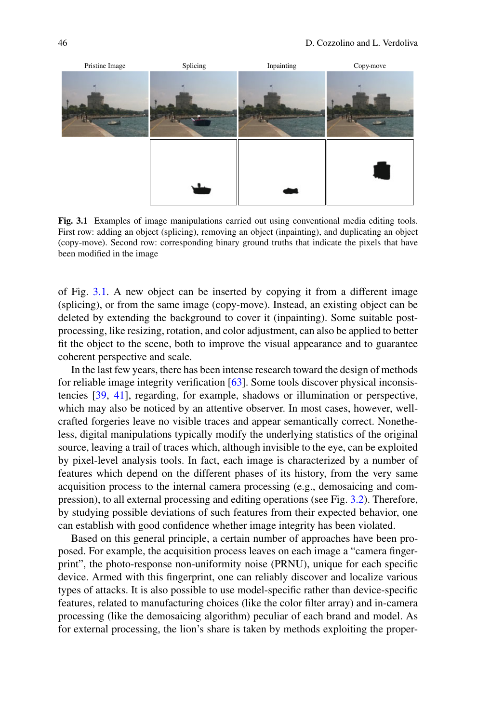

**Fig. 3.1** Examples of image manipulations carried out using conventional media editing tools. First row: adding an object (splicing), removing an object (inpainting), and duplicating an object (copy-move). Second row: corresponding binary ground truths that indicate the pixels that have been modified in the image

<span id="page-1-0"></span>of Fig. [3.1.](#page-1-0) A new object can be inserted by copying it from a different image (splicing), or from the same image (copy-move). Instead, an existing object can be deleted by extending the background to cover it (inpainting). Some suitable postprocessing, like resizing, rotation, and color adjustment, can also be applied to better fit the object to the scene, both to improve the visual appearance and to guarantee coherent perspective and scale.

In the last few years, there has been intense research toward the design of methods for reliable image integrity verification [\[63](#page-22-0)]. Some tools discover physical inconsistencies [\[39](#page-21-0), [41](#page-21-1)], regarding, for example, shadows or illumination or perspective, which may also be noticed by an attentive observer. In most cases, however, wellcrafted forgeries leave no visible traces and appear semantically correct. Nonetheless, digital manipulations typically modify the underlying statistics of the original source, leaving a trail of traces which, although invisible to the eye, can be exploited by pixel-level analysis tools. In fact, each image is characterized by a number of features which depend on the different phases of its history, from the very same acquisition process to the internal camera processing (e.g., demosaicing and compression), to all external processing and editing operations (see Fig. [3.2\)](#page-2-0). Therefore, by studying possible deviations of such features from their expected behavior, one can establish with good confidence whether image integrity has been violated.

Based on this general principle, a certain number of approaches have been proposed. For example, the acquisition process leaves on each image a "camera fingerprint", the photo-response non-uniformity noise (PRNU), unique for each specific device. Armed with this fingerprint, one can reliably discover and localize various types of attacks. It is also possible to use model-specific rather than device-specific features, related to manufacturing choices (like the color filter array) and in-camera processing (like the demosaicing algorithm) peculiar of each brand and model. As for external processing, the lion's share is taken by methods exploiting the proper-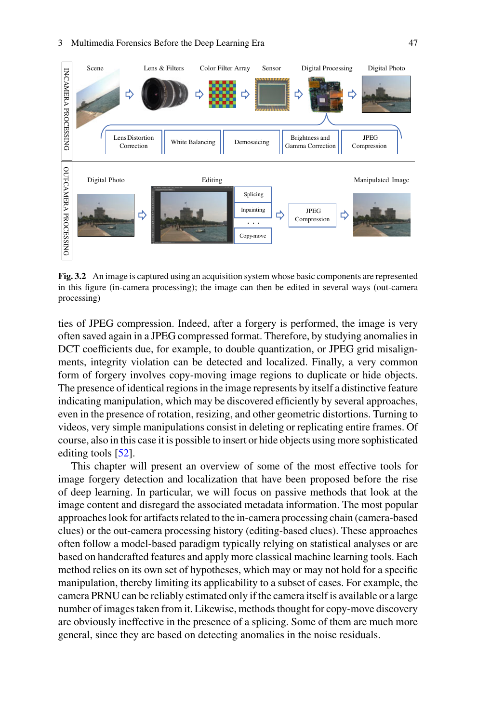

<span id="page-2-0"></span>**Fig. 3.2** An image is captured using an acquisition system whose basic components are represented in this figure (in-camera processing); the image can then be edited in several ways (out-camera processing)

ties of JPEG compression. Indeed, after a forgery is performed, the image is very often saved again in a JPEG compressed format. Therefore, by studying anomalies in DCT coefficients due, for example, to double quantization, or JPEG grid misalignments, integrity violation can be detected and localized. Finally, a very common form of forgery involves copy-moving image regions to duplicate or hide objects. The presence of identical regions in the image represents by itself a distinctive feature indicating manipulation, which may be discovered efficiently by several approaches, even in the presence of rotation, resizing, and other geometric distortions. Turning to videos, very simple manipulations consist in deleting or replicating entire frames. Of course, also in this case it is possible to insert or hide objects using more sophisticated editing tools [\[52\]](#page-21-2).

This chapter will present an overview of some of the most effective tools for image forgery detection and localization that have been proposed before the rise of deep learning. In particular, we will focus on passive methods that look at the image content and disregard the associated metadata information. The most popular approaches look for artifacts related to the in-camera processing chain (camera-based clues) or the out-camera processing history (editing-based clues). These approaches often follow a model-based paradigm typically relying on statistical analyses or are based on handcrafted features and apply more classical machine learning tools. Each method relies on its own set of hypotheses, which may or may not hold for a specific manipulation, thereby limiting its applicability to a subset of cases. For example, the camera PRNU can be reliably estimated only if the camera itself is available or a large number of images taken from it. Likewise, methods thought for copy-move discovery are obviously ineffective in the presence of a splicing. Some of them are much more general, since they are based on detecting anomalies in the noise residuals.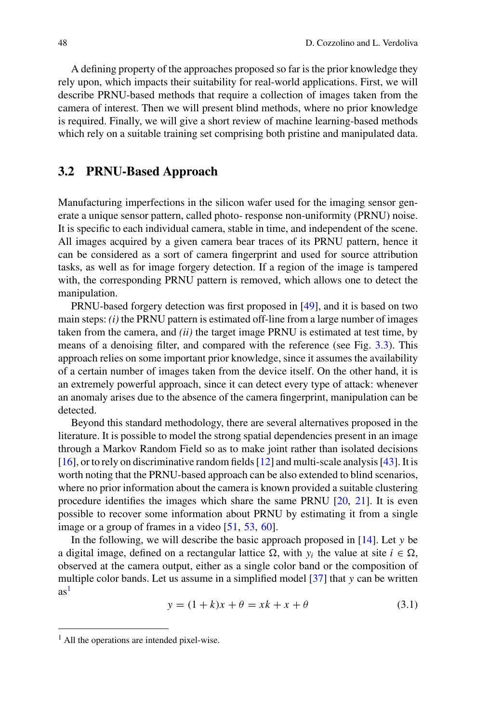A defining property of the approaches proposed so far is the prior knowledge they rely upon, which impacts their suitability for real-world applications. First, we will describe PRNU-based methods that require a collection of images taken from the camera of interest. Then we will present blind methods, where no prior knowledge is required. Finally, we will give a short review of machine learning-based methods which rely on a suitable training set comprising both pristine and manipulated data.

## **3.2 PRNU-Based Approach**

Manufacturing imperfections in the silicon wafer used for the imaging sensor generate a unique sensor pattern, called photo- response non-uniformity (PRNU) noise. It is specific to each individual camera, stable in time, and independent of the scene. All images acquired by a given camera bear traces of its PRNU pattern, hence it can be considered as a sort of camera fingerprint and used for source attribution tasks, as well as for image forgery detection. If a region of the image is tampered with, the corresponding PRNU pattern is removed, which allows one to detect the manipulation.

PRNU-based forgery detection was first proposed in [\[49](#page-21-3)], and it is based on two main steps: *(i)* the PRNU pattern is estimated off-line from a large number of images taken from the camera, and *(ii)* the target image PRNU is estimated at test time, by means of a denoising filter, and compared with the reference (see Fig. [3.3\)](#page-4-0). This approach relies on some important prior knowledge, since it assumes the availability of a certain number of images taken from the device itself. On the other hand, it is an extremely powerful approach, since it can detect every type of attack: whenever an anomaly arises due to the absence of the camera fingerprint, manipulation can be detected.

Beyond this standard methodology, there are several alternatives proposed in the literature. It is possible to model the strong spatial dependencies present in an image through a Markov Random Field so as to make joint rather than isolated decisions [\[16\]](#page-20-0), or to rely on discriminative random fields [\[12](#page-20-1)] and multi-scale analysis [\[43](#page-21-4)]. It is worth noting that the PRNU-based approach can be also extended to blind scenarios, where no prior information about the camera is known provided a suitable clustering procedure identifies the images which share the same PRNU [\[20,](#page-20-2) [21](#page-20-3)]. It is even possible to recover some information about PRNU by estimating it from a single image or a group of frames in a video [\[51](#page-21-5), [53](#page-21-6), [60\]](#page-22-1).

In the following, we will describe the basic approach proposed in [\[14](#page-20-4)]. Let *y* be a digital image, defined on a rectangular lattice  $\Omega$ , with  $y_i$  the value at site  $i \in \Omega$ , observed at the camera output, either as a single color band or the composition of multiple color bands. Let us assume in a simplified model [\[37](#page-21-7)] that *y* can be written as[1](#page-3-0)

$$
y = (1 + k)x + \theta = xk + x + \theta \tag{3.1}
$$

<span id="page-3-0"></span><sup>&</sup>lt;sup>1</sup> All the operations are intended pixel-wise.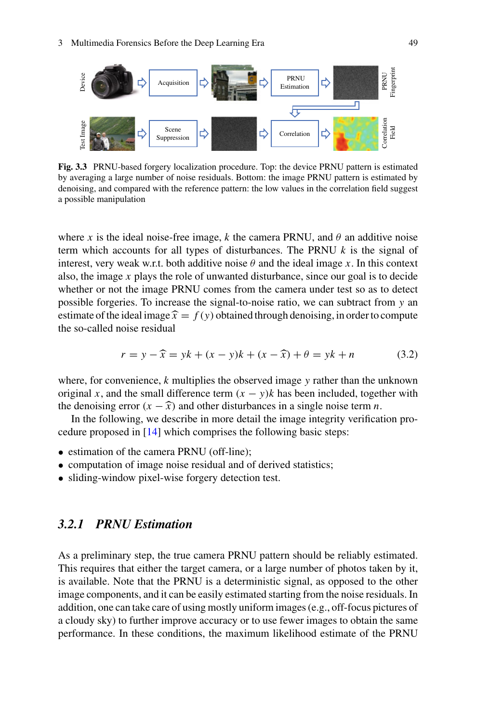

<span id="page-4-0"></span>**Fig. 3.3** PRNU-based forgery localization procedure. Top: the device PRNU pattern is estimated by averaging a large number of noise residuals. Bottom: the image PRNU pattern is estimated by denoising, and compared with the reference pattern: the low values in the correlation field suggest a possible manipulation

where *x* is the ideal noise-free image, *k* the camera PRNU, and  $\theta$  an additive noise term which accounts for all types of disturbances. The PRNU *k* is the signal of interest, very weak w.r.t. both additive noise  $\theta$  and the ideal image x. In this context also, the image *x* plays the role of unwanted disturbance, since our goal is to decide whether or not the image PRNU comes from the camera under test so as to detect possible forgeries. To increase the signal-to-noise ratio, we can subtract from *y* an also, the image *x* plays the fole of throughted this<br>theorem whether or not the image PRNU comes from the camera under test so as to detect<br>possible forgeries. To increase the signal-to-noise ratio, we can subtract from the so-called noise residual<br>*r* = *y* −  $\hat{x}$  = *x* = *y*(*y*) obtained through<br> *x* = *yk* + (*x* − *y*)*k* + (*x* −  $\hat{x}$ )

$$
r = y - \hat{x} = yk + (x - y)k + (x - \hat{x}) + \theta = yk + n
$$
 (3.2)

where, for convenience, *k* multiplies the observed image *y* rather than the unknown original *x*, and the small difference term  $(x - y)k$  has been included, together with where, for convenience, *k* i<br>original *x*, and the small d<br>the denoising error  $(x - \hat{x})$ the denoising error  $(x - \hat{x})$  and other disturbances in a single noise term *n*.

In the following, we describe in more detail the image integrity verification procedure proposed in [\[14](#page-20-4)] which comprises the following basic steps:

- estimation of the camera PRNU (off-line);
- computation of image noise residual and of derived statistics;
- sliding-window pixel-wise forgery detection test.

## *3.2.1 PRNU Estimation*

As a preliminary step, the true camera PRNU pattern should be reliably estimated. This requires that either the target camera, or a large number of photos taken by it, is available. Note that the PRNU is a deterministic signal, as opposed to the other image components, and it can be easily estimated starting from the noise residuals. In addition, one can take care of using mostly uniform images (e.g., off-focus pictures of a cloudy sky) to further improve accuracy or to use fewer images to obtain the same performance. In these conditions, the maximum likelihood estimate of the PRNU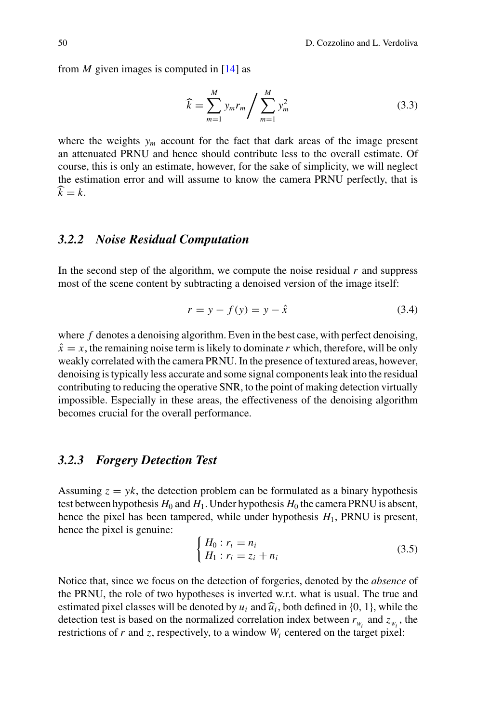from *M* given images is computed in [\[14](#page-20-4)] as<br>  $\hat{k} = \sum_{m}^{M} y_m r_m$ 

$$
\widehat{k} = \sum_{m=1}^{M} y_m r_m / \sum_{m=1}^{M} y_m^2
$$
\n(3.3)

where the weights  $y_m$  account for the fact that dark areas of the image present an attenuated PRNU and hence should contribute less to the overall estimate. Of course, this is only an estimate, however, for the sake of simplicity, we will neglect the estimation error and will assume to know the camera PRNU perfectly, that is  $\widehat{k} = k$ 

## *3.2.2 Noise Residual Computation*

In the second step of the algorithm, we compute the noise residual *r* and suppress most of the scene content by subtracting a denoised version of the image itself:

$$
r = y - f(y) = y - \hat{x}
$$
 (3.4)

where *f* denotes a denoising algorithm. Even in the best case, with perfect denoising,  $\hat{x} = x$ , the remaining noise term is likely to dominate *r* which, therefore, will be only weakly correlated with the camera PRNU. In the presence of textured areas, however, denoising is typically less accurate and some signal components leak into the residual contributing to reducing the operative SNR, to the point of making detection virtually impossible. Especially in these areas, the effectiveness of the denoising algorithm becomes crucial for the overall performance.

## *3.2.3 Forgery Detection Test*

Assuming  $z = yk$ , the detection problem can be formulated as a binary hypothesis test between hypothesis  $H_0$  and  $H_1$ . Under hypothesis  $H_0$  the camera PRNU is absent, hence the pixel has been tampered, while under hypothesis  $H_1$ , PRNU is present, hence the pixel is genuine:

$$
\begin{cases}\nH_0: r_i = n_i \\
H_1: r_i = z_i + n_i\n\end{cases} \tag{3.5}
$$

Notice that, since we focus on the detection of forgeries, denoted by the *absence* of the PRNU, the role of two hypotheses is inverted w.r.t. what is usual. The true and estimated pixel classes will be denoted by  $u_i$  an the PRNU, the role of two hypotheses is inverted w.r.t. what is usual. The true and estimated pixel classes will be denoted by  $u_i$  and  $\hat{u}_i$ , both defined in {0, 1}, while the detection test is based on the normalized correlation index between  $r_{w_i}$  and  $z_{w_i}$ , the restrictions of  $r$  and  $z$ , respectively, to a window  $W_i$  centered on the target pixel: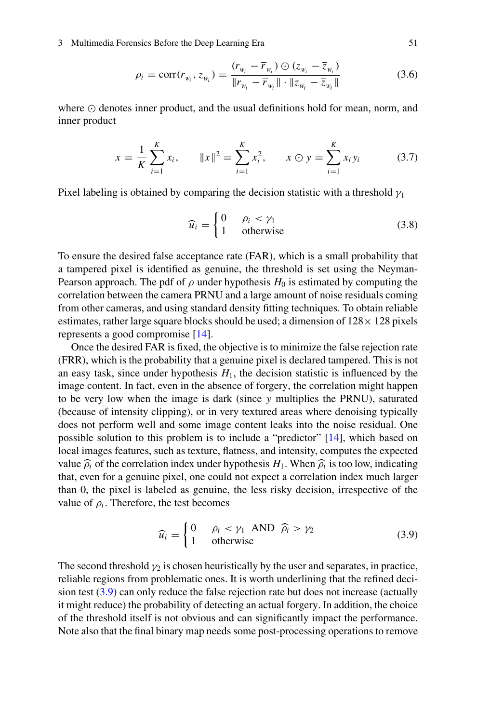#### 3 Multimedia Forensics Before the Deep Learning Era 51

<span id="page-6-1"></span>
$$
\rho_i = \text{corr}(r_{w_i}, z_{w_i}) = \frac{(r_{w_i} - \overline{r}_{w_i}) \odot (z_{w_i} - \overline{z}_{w_i})}{\|r_{w_i} - \overline{r}_{w_i}\| \cdot \|z_{w_i} - \overline{z}_{w_i}\|}
$$
(3.6)

where  $\odot$  denotes inner product, and the usual definitions hold for mean, norm, and inner product

$$
\bar{x} = \frac{1}{K} \sum_{i=1}^{K} x_i, \qquad ||x||^2 = \sum_{i=1}^{K} x_i^2, \qquad x \odot y = \sum_{i=1}^{K} x_i y_i \tag{3.7}
$$

Pixel labeling is obtained by comparing the decision statistic with a threshold  $\gamma_1$ 

$$
\widehat{u}_i = \begin{cases} 0 & \rho_i < \gamma_1 \\ 1 & \text{otherwise} \end{cases}
$$
 (3.8)

To ensure the desired false acceptance rate (FAR), which is a small probability that a tampered pixel is identified as genuine, the threshold is set using the Neyman-Pearson approach. The pdf of  $\rho$  under hypothesis  $H_0$  is estimated by computing the correlation between the camera PRNU and a large amount of noise residuals coming from other cameras, and using standard density fitting techniques. To obtain reliable estimates, rather large square blocks should be used; a dimension of  $128 \times 128$  pixels represents a good compromise [\[14\]](#page-20-4).

Once the desired FAR is fixed, the objective is to minimize the false rejection rate (FRR), which is the probability that a genuine pixel is declared tampered. This is not an easy task, since under hypothesis  $H_1$ , the decision statistic is influenced by the image content. In fact, even in the absence of forgery, the correlation might happen to be very low when the image is dark (since *y* multiplies the PRNU), saturated (because of intensity clipping), or in very textured areas where denoising typically does not perform well and some image content leaks into the noise residual. One possible solution to this problem is to include a "predictor" [\[14\]](#page-20-4), which based on local images features, such as texture, flatness, and intensity, computes the expected possible solution to this problem is to include a "predictor" [14], which based on local images features, such as texture, flatness, and intensity, computes the expected value  $\hat{\rho}_i$  of the correlation index under hypot that, even for a genuine pixel, one could not expect a correlation index much larger than 0, the pixel is labeled as genuine, the less risky decision, irrespective of the value of  $\rho_i$ . Therefore, the test becomes<br>  $\hat{\rho}_i = \int 0 \quad \rho_i < \gamma_1$  AND  $\hat{\rho}_i > \gamma_2$  (3.0) value of  $\rho_i$ . Therefore, the test becomes

<span id="page-6-0"></span>
$$
\widehat{u}_i = \begin{cases}\n0 & \rho_i < \gamma_1 \text{ AND } \widehat{\rho}_i > \gamma_2 \\
1 & \text{otherwise}\n\end{cases}
$$
\n(3.9)

The second threshold  $\gamma_2$  is chosen heuristically by the user and separates, in practice, reliable regions from problematic ones. It is worth underlining that the refined decision test [\(3.9\)](#page-6-0) can only reduce the false rejection rate but does not increase (actually it might reduce) the probability of detecting an actual forgery. In addition, the choice of the threshold itself is not obvious and can significantly impact the performance. Note also that the final binary map needs some post-processing operations to remove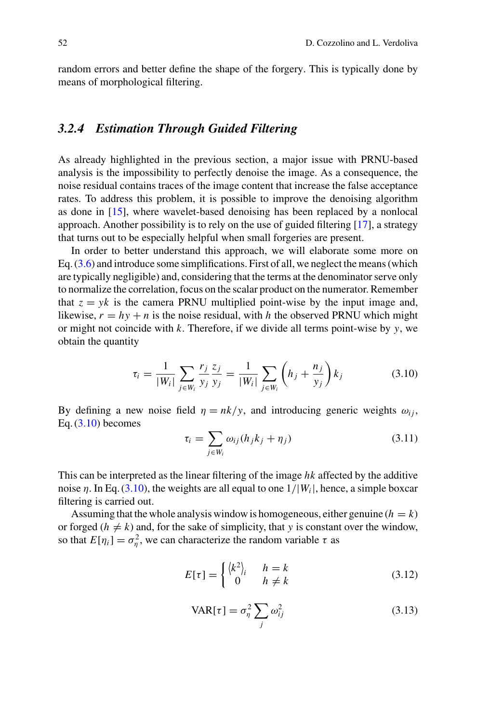random errors and better define the shape of the forgery. This is typically done by means of morphological filtering.

## *3.2.4 Estimation Through Guided Filtering*

As already highlighted in the previous section, a major issue with PRNU-based analysis is the impossibility to perfectly denoise the image. As a consequence, the noise residual contains traces of the image content that increase the false acceptance rates. To address this problem, it is possible to improve the denoising algorithm as done in [\[15](#page-20-5)], where wavelet-based denoising has been replaced by a nonlocal approach. Another possibility is to rely on the use of guided filtering [\[17](#page-20-6)], a strategy that turns out to be especially helpful when small forgeries are present.

In order to better understand this approach, we will elaborate some more on Eq. [\(3.6\)](#page-6-1) and introduce some simplifications. First of all, we neglect the means (which are typically negligible) and, considering that the terms at the denominator serve only to normalize the correlation, focus on the scalar product on the numerator. Remember that  $z = yk$  is the camera PRNU multiplied point-wise by the input image and, likewise,  $r = hy + n$  is the noise residual, with h the observed PRNU which might or might not coincide with *k*. Therefore, if we divide all terms point-wise by *y*, we obtain the quantity

<span id="page-7-0"></span>
$$
\tau_i = \frac{1}{|W_i|} \sum_{j \in W_i} \frac{r_j}{y_j} \frac{z_j}{y_j} = \frac{1}{|W_i|} \sum_{j \in W_i} \left( h_j + \frac{n_j}{y_j} \right) k_j \tag{3.10}
$$

By defining a new noise field  $\eta = nk/y$ , and introducing generic weights  $\omega_{ij}$ , Eq.  $(3.10)$  becomes  $reld \eta = r$ <br> $\tau_i = \sum$ 

$$
\tau_i = \sum_{j \in W_i} \omega_{ij} (h_j k_j + \eta_j) \tag{3.11}
$$

This can be interpreted as the linear filtering of the image *hk* affected by the additive noise  $\eta$ . In Eq. [\(3.10\)](#page-7-0), the weights are all equal to one  $1/|W_i|$ , hence, a simple boxcar filtering is carried out.

Assuming that the whole analysis window is homogeneous, either genuine  $(h = k)$ or forged ( $h \neq k$ ) and, for the sake of simplicity, that *y* is constant over the window, so that  $E[\eta_i] = \sigma_{\eta}^2$ , we can characterize the random variable  $\tau$  as *E* sake of sin strategize

$$
E[\tau] = \begin{cases} \langle k^2 \rangle_i & h = k \\ 0 & h \neq k \end{cases}
$$
 (3.12)

$$
VAR[\tau] = \sigma_{\eta}^2 \sum_{j} \omega_{ij}^2
$$
 (3.13)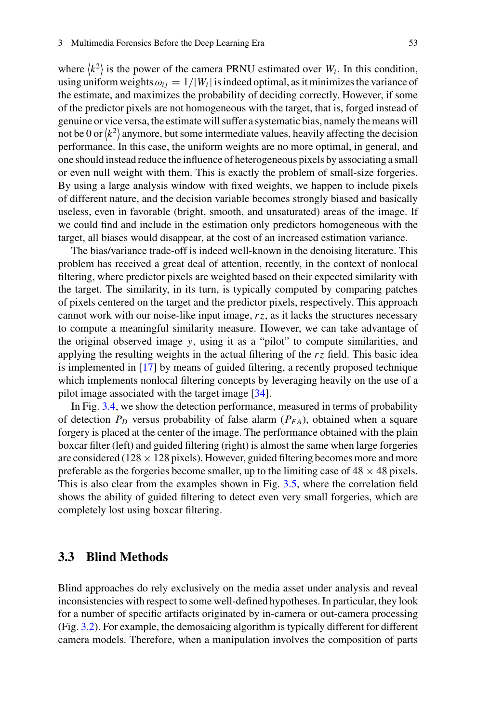3 Multimedia Forensics Before the Deep Learning Era 53<br>where  $\langle k^2 \rangle$  is the power of the camera PRNU estimated over *W<sub>i</sub>*. In this condition, using uniform weights  $\omega_{ii} = 1/|W_i|$  is indeed optimal, as it minimizes the variance of the estimate, and maximizes the probability of deciding correctly. However, if some of the predictor pixels are not homogeneous with the target, that is, forged instead of genuine or vice versa, the estimate will suffer a systematic bias, namely the means will the estimate, and maximizes the probability of deciding correctly. However, if some<br>of the predictor pixels are not homogeneous with the target, that is, forged instead of<br>genuine or vice versa, the estimate will suffer a performance. In this case, the uniform weights are no more optimal, in general, and one should instead reduce the influence of heterogeneous pixels by associating a small or even null weight with them. This is exactly the problem of small-size forgeries. By using a large analysis window with fixed weights, we happen to include pixels of different nature, and the decision variable becomes strongly biased and basically useless, even in favorable (bright, smooth, and unsaturated) areas of the image. If we could find and include in the estimation only predictors homogeneous with the target, all biases would disappear, at the cost of an increased estimation variance.

The bias/variance trade-off is indeed well-known in the denoising literature. This problem has received a great deal of attention, recently, in the context of nonlocal filtering, where predictor pixels are weighted based on their expected similarity with the target. The similarity, in its turn, is typically computed by comparing patches of pixels centered on the target and the predictor pixels, respectively. This approach cannot work with our noise-like input image, *r z*, as it lacks the structures necessary to compute a meaningful similarity measure. However, we can take advantage of the original observed image *y*, using it as a "pilot" to compute similarities, and applying the resulting weights in the actual filtering of the *r z* field. This basic idea is implemented in [\[17](#page-20-6)] by means of guided filtering, a recently proposed technique which implements nonlocal filtering concepts by leveraging heavily on the use of a pilot image associated with the target image [\[34\]](#page-21-8).

In Fig. [3.4,](#page-9-0) we show the detection performance, measured in terms of probability of detection  $P_D$  versus probability of false alarm  $(P_{FA})$ , obtained when a square forgery is placed at the center of the image. The performance obtained with the plain boxcar filter (left) and guided filtering (right) is almost the same when large forgeries are considered ( $128 \times 128$  pixels). However, guided filtering becomes more and more preferable as the forgeries become smaller, up to the limiting case of  $48 \times 48$  pixels. This is also clear from the examples shown in Fig. [3.5,](#page-9-1) where the correlation field shows the ability of guided filtering to detect even very small forgeries, which are completely lost using boxcar filtering.

### **3.3 Blind Methods**

Blind approaches do rely exclusively on the media asset under analysis and reveal inconsistencies with respect to some well-defined hypotheses. In particular, they look for a number of specific artifacts originated by in-camera or out-camera processing (Fig. [3.2\)](#page-2-0). For example, the demosaicing algorithm is typically different for different camera models. Therefore, when a manipulation involves the composition of parts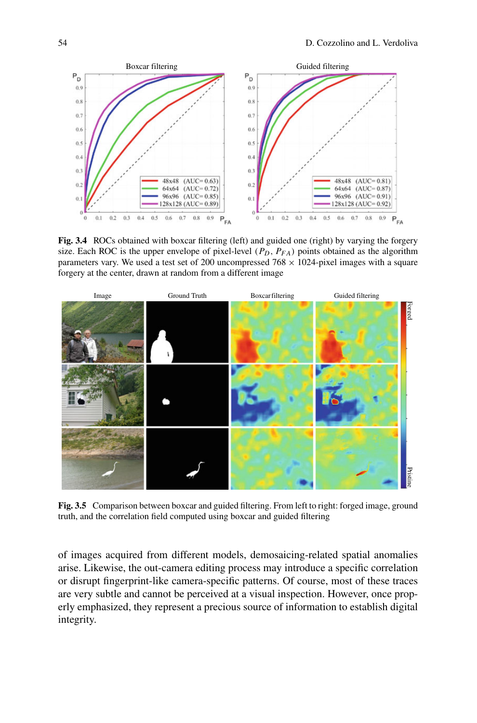

<span id="page-9-0"></span>**Fig. 3.4** ROCs obtained with boxcar filtering (left) and guided one (right) by varying the forgery size. Each ROC is the upper envelope of pixel-level  $(P_D, P_{FA})$  points obtained as the algorithm parameters vary. We used a test set of 200 uncompressed  $768 \times 1024$ -pixel images with a square forgery at the center, drawn at random from a different image



<span id="page-9-1"></span>**Fig. 3.5** Comparison between boxcar and guided filtering. From left to right: forged image, ground truth, and the correlation field computed using boxcar and guided filtering

of images acquired from different models, demosaicing-related spatial anomalies arise. Likewise, the out-camera editing process may introduce a specific correlation or disrupt fingerprint-like camera-specific patterns. Of course, most of these traces are very subtle and cannot be perceived at a visual inspection. However, once properly emphasized, they represent a precious source of information to establish digital integrity.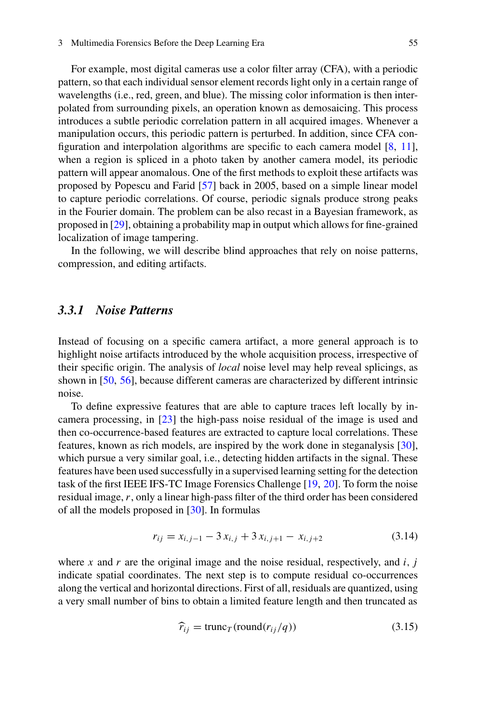For example, most digital cameras use a color filter array (CFA), with a periodic pattern, so that each individual sensor element records light only in a certain range of wavelengths (i.e., red, green, and blue). The missing color information is then interpolated from surrounding pixels, an operation known as demosaicing. This process introduces a subtle periodic correlation pattern in all acquired images. Whenever a manipulation occurs, this periodic pattern is perturbed. In addition, since CFA configuration and interpolation algorithms are specific to each camera model [\[8,](#page-19-0) [11](#page-20-7)], when a region is spliced in a photo taken by another camera model, its periodic pattern will appear anomalous. One of the first methods to exploit these artifacts was proposed by Popescu and Farid [\[57](#page-22-2)] back in 2005, based on a simple linear model to capture periodic correlations. Of course, periodic signals produce strong peaks in the Fourier domain. The problem can be also recast in a Bayesian framework, as proposed in [\[29\]](#page-20-8), obtaining a probability map in output which allows for fine-grained localization of image tampering.

In the following, we will describe blind approaches that rely on noise patterns, compression, and editing artifacts.

## *3.3.1 Noise Patterns*

Instead of focusing on a specific camera artifact, a more general approach is to highlight noise artifacts introduced by the whole acquisition process, irrespective of their specific origin. The analysis of *local* noise level may help reveal splicings, as shown in [\[50](#page-21-9), [56\]](#page-21-10), because different cameras are characterized by different intrinsic noise.

To define expressive features that are able to capture traces left locally by incamera processing, in [\[23](#page-20-9)] the high-pass noise residual of the image is used and then co-occurrence-based features are extracted to capture local correlations. These features, known as rich models, are inspired by the work done in steganalysis [\[30](#page-20-10)], which pursue a very similar goal, i.e., detecting hidden artifacts in the signal. These features have been used successfully in a supervised learning setting for the detection task of the first IEEE IFS-TC Image Forensics Challenge [\[19,](#page-20-11) [20](#page-20-2)]. To form the noise residual image,*r*, only a linear high-pass filter of the third order has been considered of all the models proposed in [\[30](#page-20-10)]. In formulas

$$
r_{ij} = x_{i,j-1} - 3x_{i,j} + 3x_{i,j+1} - x_{i,j+2}
$$
 (3.14)

where  $x$  and  $r$  are the original image and the noise residual, respectively, and  $i$ ,  $j$ indicate spatial coordinates. The next step is to compute residual co-occurrences along the vertical and horizontal directions. First of all, residuals are quantized, using a very small number of bins to obtain a limited feature length and then truncated as

$$
\widehat{r}_{ij} = \text{trunc}_{T}(\text{round}(r_{ij}/q)) \tag{3.15}
$$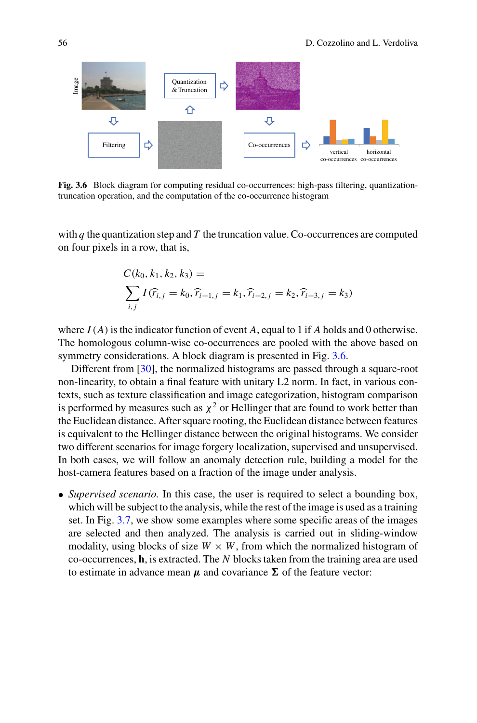

<span id="page-11-0"></span>**Fig. 3.6** Block diagram for computing residual co-occurrences: high-pass filtering, quantizationtruncation operation, and the computation of the co-occurrence histogram

with  $q$  the quantization step and  $T$  the truncation value. Co-occurrences are computed on four pixels in a row, that is,<br> $C(k_0, k_1, k_2, k_3) =$ 

$$
C(k_0, k_1, k_2, k_3) =
$$
  

$$
\sum_{i,j} I(\widehat{r}_{i,j} = k_0, \widehat{r}_{i+1,j} = k_1, \widehat{r}_{i+2,j} = k_2, \widehat{r}_{i+3,j} = k_3)
$$

where  $I(A)$  is the indicator function of event A, equal to 1 if A holds and 0 otherwise. The homologous column-wise co-occurrences are pooled with the above based on symmetry considerations. A block diagram is presented in Fig. [3.6.](#page-11-0)

Different from [\[30](#page-20-10)], the normalized histograms are passed through a square-root non-linearity, to obtain a final feature with unitary L2 norm. In fact, in various contexts, such as texture classification and image categorization, histogram comparison is performed by measures such as  $\chi^2$  or Hellinger that are found to work better than the Euclidean distance. After square rooting, the Euclidean distance between features is equivalent to the Hellinger distance between the original histograms. We consider two different scenarios for image forgery localization, supervised and unsupervised. In both cases, we will follow an anomaly detection rule, building a model for the host-camera features based on a fraction of the image under analysis.

• *Supervised scenario.* In this case, the user is required to select a bounding box, which will be subject to the analysis, while the rest of the image is used as a training set. In Fig. [3.7,](#page-12-0) we show some examples where some specific areas of the images are selected and then analyzed. The analysis is carried out in sliding-window modality, using blocks of size  $W \times W$ , from which the normalized histogram of co-occurrences, **h**, is extracted. The *N* blocks taken from the training area are used to estimate in advance mean  $\mu$  and covariance  $\Sigma$  of the feature vector: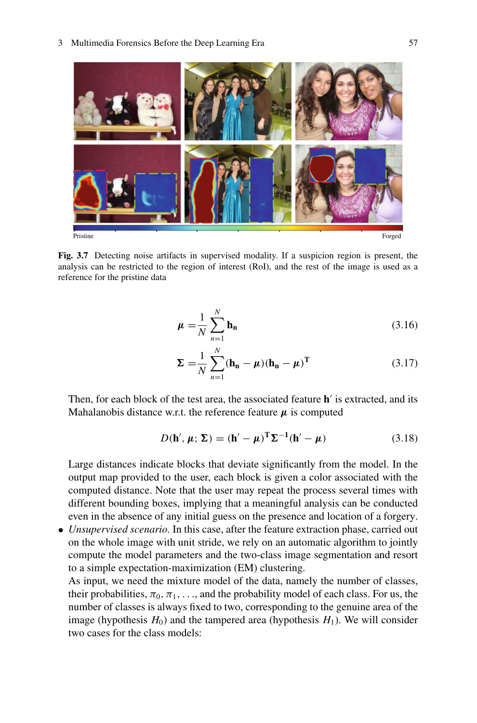

**Fig. 3.7** Detecting noise artifacts in supervised modality. If a suspicion region is present, the analysis can be restricted to the region of interest (RoI), and the rest of the image is used as a reference for the pristine data

<span id="page-12-0"></span>
$$
\mu = \frac{1}{N} \sum_{n=1}^{N} \mathbf{h}_{n}
$$
\n(3.16)

$$
\Sigma = \frac{1}{N} \sum_{n=1}^{N} (\mathbf{h_n} - \boldsymbol{\mu}) (\mathbf{h_n} - \boldsymbol{\mu})^{\mathrm{T}}
$$
 (3.17)

Then, for each block of the test area, the associated feature **h**<sup>'</sup> is extracted, and its Mahalanobis distance w.r.t. the reference feature *μ* is computed

$$
D(\mathbf{h}', \mu; \Sigma) = (\mathbf{h}' - \mu)^{\mathrm{T}} \Sigma^{-1} (\mathbf{h}' - \mu)
$$
 (3.18)

Large distances indicate blocks that deviate significantly from the model. In the output map provided to the user, each block is given a color associated with the computed distance. Note that the user may repeat the process several times with different bounding boxes, implying that a meaningful analysis can be conducted even in the absence of any initial guess on the presence and location of a forgery.

• *Unsupervised scenario.* In this case, after the feature extraction phase, carried out on the whole image with unit stride, we rely on an automatic algorithm to jointly compute the model parameters and the two-class image segmentation and resort to a simple expectation-maximization (EM) clustering.

As input, we need the mixture model of the data, namely the number of classes, their probabilities,  $\pi_0, \pi_1, \ldots$ , and the probability model of each class. For us, the number of classes is always fixed to two, corresponding to the genuine area of the image (hypothesis  $H_0$ ) and the tampered area (hypothesis  $H_1$ ). We will consider two cases for the class models: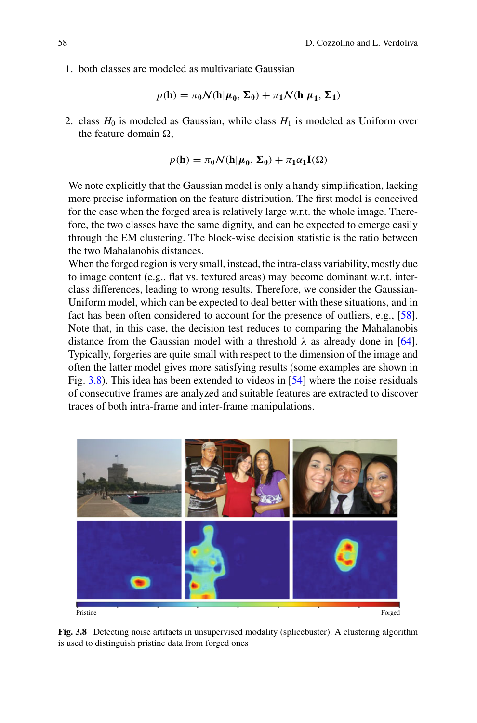1. both classes are modeled as multivariate Gaussian

$$
p(\mathbf{h}) = \pi_0 \mathcal{N}(\mathbf{h} | \boldsymbol{\mu}_0, \boldsymbol{\Sigma}_0) + \pi_1 \mathcal{N}(\mathbf{h} | \boldsymbol{\mu}_1, \boldsymbol{\Sigma}_1)
$$

2. class  $H_0$  is modeled as Gaussian, while class  $H_1$  is modeled as Uniform over the feature domain  $\Omega$ ,

$$
p(\mathbf{h}) = \pi_0 \mathcal{N}(\mathbf{h}|\boldsymbol{\mu}_0, \boldsymbol{\Sigma}_0) + \pi_1 \alpha_1 \mathbf{I}(\Omega)
$$

We note explicitly that the Gaussian model is only a handy simplification, lacking more precise information on the feature distribution. The first model is conceived for the case when the forged area is relatively large w.r.t. the whole image. Therefore, the two classes have the same dignity, and can be expected to emerge easily through the EM clustering. The block-wise decision statistic is the ratio between the two Mahalanobis distances.

When the forged region is very small, instead, the intra-class variability, mostly due to image content (e.g., flat vs. textured areas) may become dominant w.r.t. interclass differences, leading to wrong results. Therefore, we consider the Gaussian-Uniform model, which can be expected to deal better with these situations, and in fact has been often considered to account for the presence of outliers, e.g., [\[58](#page-22-3)]. Note that, in this case, the decision test reduces to comparing the Mahalanobis distance from the Gaussian model with a threshold  $\lambda$  as already done in [\[64](#page-22-4)]. Typically, forgeries are quite small with respect to the dimension of the image and often the latter model gives more satisfying results (some examples are shown in Fig. [3.8\)](#page-13-0). This idea has been extended to videos in [\[54\]](#page-21-11) where the noise residuals of consecutive frames are analyzed and suitable features are extracted to discover traces of both intra-frame and inter-frame manipulations.

<span id="page-13-0"></span>

**Fig. 3.8** Detecting noise artifacts in unsupervised modality (splicebuster). A clustering algorithm is used to distinguish pristine data from forged ones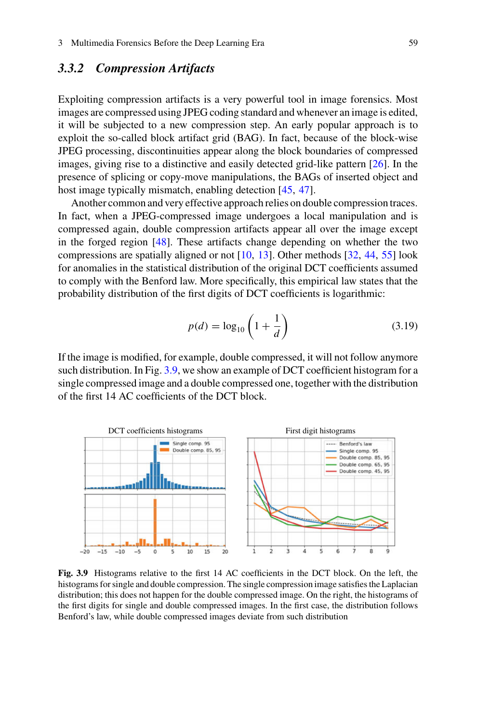## *3.3.2 Compression Artifacts*

Exploiting compression artifacts is a very powerful tool in image forensics. Most images are compressed using JPEG coding standard and whenever an image is edited, it will be subjected to a new compression step. An early popular approach is to exploit the so-called block artifact grid (BAG). In fact, because of the block-wise JPEG processing, discontinuities appear along the block boundaries of compressed images, giving rise to a distinctive and easily detected grid-like pattern [\[26](#page-20-12)]. In the presence of splicing or copy-move manipulations, the BAGs of inserted object and host image typically mismatch, enabling detection [\[45,](#page-21-12) [47](#page-21-13)].

Another common and very effective approach relies on double compression traces. In fact, when a JPEG-compressed image undergoes a local manipulation and is compressed again, double compression artifacts appear all over the image except in the forged region [\[48\]](#page-21-14). These artifacts change depending on whether the two compressions are spatially aligned or not [\[10,](#page-20-13) [13\]](#page-20-14). Other methods [\[32](#page-21-15), [44](#page-21-16), [55\]](#page-21-17) look for anomalies in the statistical distribution of the original DCT coefficients assumed to comply with the Benford law. More specifically, this empirical law states that the probability distribution of the first digits of DCT coefficients is logarithmic: w. More specifit<br>first digits of D<br> $p(d) = \log_{10} ($ 

$$
p(d) = \log_{10}\left(1 + \frac{1}{d}\right) \tag{3.19}
$$

If the image is modified, for example, double compressed, it will not follow anymore such distribution. In Fig. [3.9,](#page-14-0) we show an example of DCT coefficient histogram for a single compressed image and a double compressed one, together with the distribution of the first 14 AC coefficients of the DCT block.



<span id="page-14-0"></span>**Fig. 3.9** Histograms relative to the first 14 AC coefficients in the DCT block. On the left, the histograms for single and double compression. The single compression image satisfies the Laplacian distribution; this does not happen for the double compressed image. On the right, the histograms of the first digits for single and double compressed images. In the first case, the distribution follows Benford's law, while double compressed images deviate from such distribution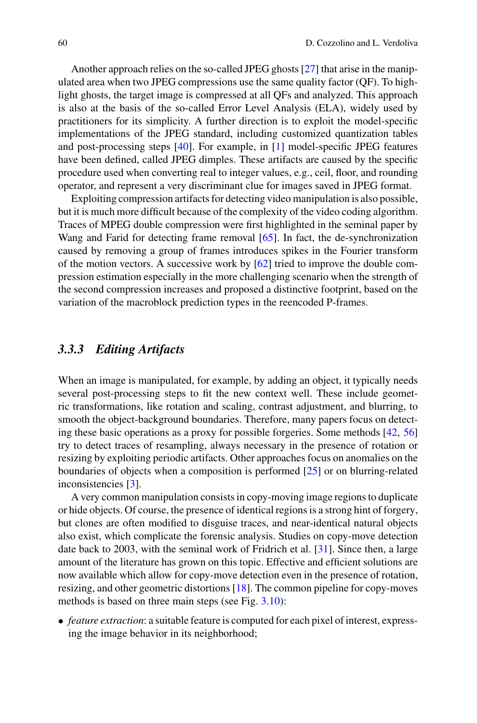Another approach relies on the so-called JPEG ghosts [\[27\]](#page-20-15) that arise in the manipulated area when two JPEG compressions use the same quality factor (QF). To highlight ghosts, the target image is compressed at all QFs and analyzed. This approach is also at the basis of the so-called Error Level Analysis (ELA), widely used by practitioners for its simplicity. A further direction is to exploit the model-specific implementations of the JPEG standard, including customized quantization tables and post-processing steps [\[40\]](#page-21-18). For example, in [\[1\]](#page-19-1) model-specific JPEG features have been defined, called JPEG dimples. These artifacts are caused by the specific procedure used when converting real to integer values, e.g., ceil, floor, and rounding operator, and represent a very discriminant clue for images saved in JPEG format.

Exploiting compression artifacts for detecting video manipulation is also possible, but it is much more difficult because of the complexity of the video coding algorithm. Traces of MPEG double compression were first highlighted in the seminal paper by Wang and Farid for detecting frame removal [\[65\]](#page-22-5). In fact, the de-synchronization caused by removing a group of frames introduces spikes in the Fourier transform of the motion vectors. A successive work by  $[62]$  $[62]$  tried to improve the double compression estimation especially in the more challenging scenario when the strength of the second compression increases and proposed a distinctive footprint, based on the variation of the macroblock prediction types in the reencoded P-frames.

## *3.3.3 Editing Artifacts*

When an image is manipulated, for example, by adding an object, it typically needs several post-processing steps to fit the new context well. These include geometric transformations, like rotation and scaling, contrast adjustment, and blurring, to smooth the object-background boundaries. Therefore, many papers focus on detecting these basic operations as a proxy for possible forgeries. Some methods [\[42](#page-21-19), [56\]](#page-21-10) try to detect traces of resampling, always necessary in the presence of rotation or resizing by exploiting periodic artifacts. Other approaches focus on anomalies on the boundaries of objects when a composition is performed [\[25\]](#page-20-16) or on blurring-related inconsistencies [\[3\]](#page-19-2).

A very common manipulation consists in copy-moving image regions to duplicate or hide objects. Of course, the presence of identical regions is a strong hint of forgery, but clones are often modified to disguise traces, and near-identical natural objects also exist, which complicate the forensic analysis. Studies on copy-move detection date back to 2003, with the seminal work of Fridrich et al. [\[31\]](#page-20-17). Since then, a large amount of the literature has grown on this topic. Effective and efficient solutions are now available which allow for copy-move detection even in the presence of rotation, resizing, and other geometric distortions [\[18](#page-20-18)]. The common pipeline for copy-moves methods is based on three main steps (see Fig. [3.10\)](#page-16-0):

• *feature extraction*: a suitable feature is computed for each pixel of interest, expressing the image behavior in its neighborhood;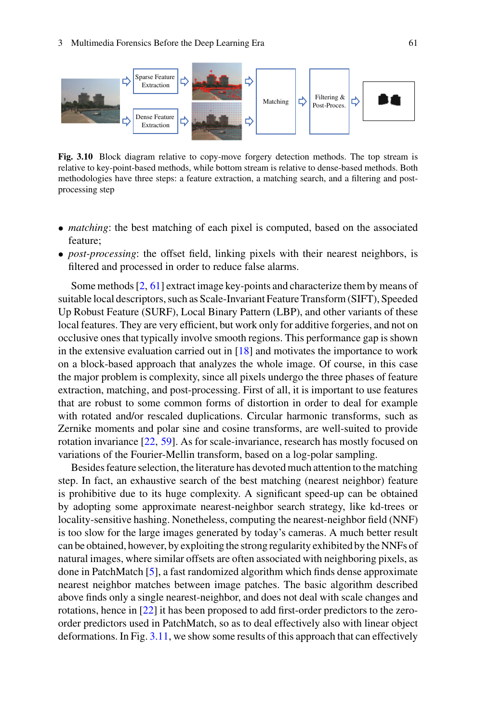

<span id="page-16-0"></span>**Fig. 3.10** Block diagram relative to copy-move forgery detection methods. The top stream is relative to key-point-based methods, while bottom stream is relative to dense-based methods. Both methodologies have three steps: a feature extraction, a matching search, and a filtering and postprocessing step

- *matching*: the best matching of each pixel is computed, based on the associated feature;
- *post-processing*: the offset field, linking pixels with their nearest neighbors, is filtered and processed in order to reduce false alarms.

Some methods [\[2](#page-19-3), [61](#page-22-7)] extract image key-points and characterize them by means of suitable local descriptors, such as Scale-Invariant Feature Transform (SIFT), Speeded Up Robust Feature (SURF), Local Binary Pattern (LBP), and other variants of these local features. They are very efficient, but work only for additive forgeries, and not on occlusive ones that typically involve smooth regions. This performance gap is shown in the extensive evaluation carried out in  $[18]$  and motivates the importance to work on a block-based approach that analyzes the whole image. Of course, in this case the major problem is complexity, since all pixels undergo the three phases of feature extraction, matching, and post-processing. First of all, it is important to use features that are robust to some common forms of distortion in order to deal for example with rotated and/or rescaled duplications. Circular harmonic transforms, such as Zernike moments and polar sine and cosine transforms, are well-suited to provide rotation invariance [\[22](#page-20-19), [59](#page-22-8)]. As for scale-invariance, research has mostly focused on variations of the Fourier-Mellin transform, based on a log-polar sampling.

Besides feature selection, the literature has devoted much attention to the matching step. In fact, an exhaustive search of the best matching (nearest neighbor) feature is prohibitive due to its huge complexity. A significant speed-up can be obtained by adopting some approximate nearest-neighbor search strategy, like kd-trees or locality-sensitive hashing. Nonetheless, computing the nearest-neighbor field (NNF) is too slow for the large images generated by today's cameras. A much better result can be obtained, however, by exploiting the strong regularity exhibited by the NNFs of natural images, where similar offsets are often associated with neighboring pixels, as done in PatchMatch [\[5\]](#page-19-4), a fast randomized algorithm which finds dense approximate nearest neighbor matches between image patches. The basic algorithm described above finds only a single nearest-neighbor, and does not deal with scale changes and rotations, hence in [\[22\]](#page-20-19) it has been proposed to add first-order predictors to the zeroorder predictors used in PatchMatch, so as to deal effectively also with linear object deformations. In Fig. [3.11,](#page-17-0) we show some results of this approach that can effectively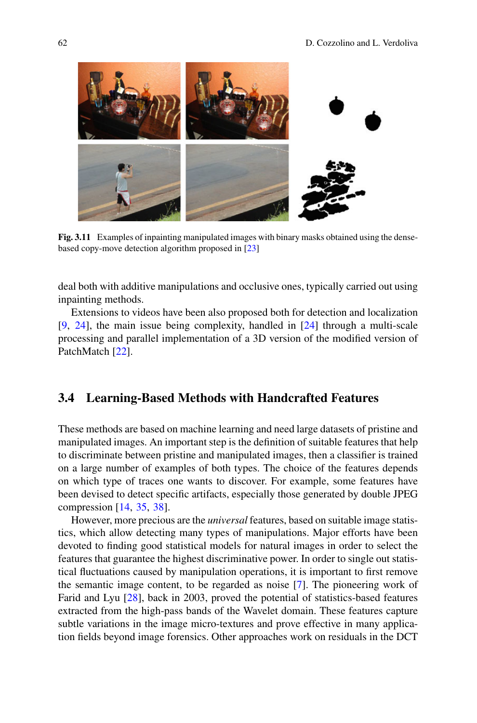

**Fig. 3.11** Examples of inpainting manipulated images with binary masks obtained using the densebased copy-move detection algorithm proposed in [\[23](#page-20-9)]

<span id="page-17-0"></span>deal both with additive manipulations and occlusive ones, typically carried out using inpainting methods.

Extensions to videos have been also proposed both for detection and localization [\[9,](#page-19-5) [24](#page-20-20)], the main issue being complexity, handled in [\[24](#page-20-20)] through a multi-scale processing and parallel implementation of a 3D version of the modified version of PatchMatch [\[22\]](#page-20-19).

## **3.4 Learning-Based Methods with Handcrafted Features**

These methods are based on machine learning and need large datasets of pristine and manipulated images. An important step is the definition of suitable features that help to discriminate between pristine and manipulated images, then a classifier is trained on a large number of examples of both types. The choice of the features depends on which type of traces one wants to discover. For example, some features have been devised to detect specific artifacts, especially those generated by double JPEG compression [\[14,](#page-20-4) [35](#page-21-20), [38](#page-21-21)].

However, more precious are the *universal* features, based on suitable image statistics, which allow detecting many types of manipulations. Major efforts have been devoted to finding good statistical models for natural images in order to select the features that guarantee the highest discriminative power. In order to single out statistical fluctuations caused by manipulation operations, it is important to first remove the semantic image content, to be regarded as noise [\[7\]](#page-19-6). The pioneering work of Farid and Lyu [\[28](#page-20-21)], back in 2003, proved the potential of statistics-based features extracted from the high-pass bands of the Wavelet domain. These features capture subtle variations in the image micro-textures and prove effective in many application fields beyond image forensics. Other approaches work on residuals in the DCT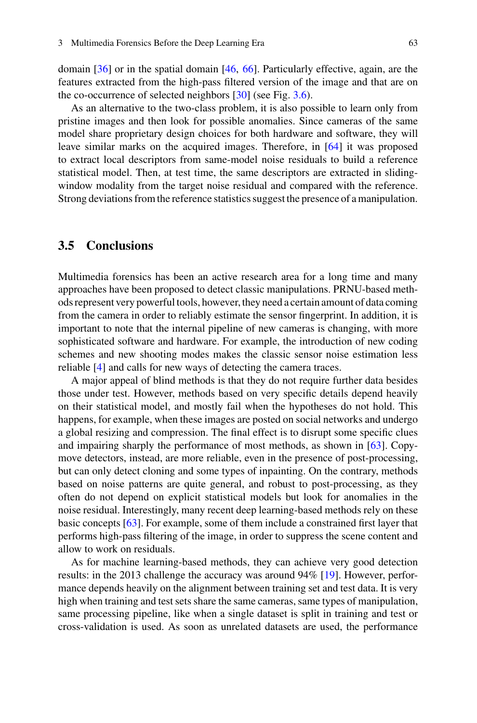domain [\[36\]](#page-21-22) or in the spatial domain [\[46,](#page-21-23) [66\]](#page-22-9). Particularly effective, again, are the features extracted from the high-pass filtered version of the image and that are on the co-occurrence of selected neighbors [\[30\]](#page-20-10) (see Fig. [3.6\)](#page-11-0).

As an alternative to the two-class problem, it is also possible to learn only from pristine images and then look for possible anomalies. Since cameras of the same model share proprietary design choices for both hardware and software, they will leave similar marks on the acquired images. Therefore, in [\[64](#page-22-4)] it was proposed to extract local descriptors from same-model noise residuals to build a reference statistical model. Then, at test time, the same descriptors are extracted in slidingwindow modality from the target noise residual and compared with the reference. Strong deviations from the reference statistics suggest the presence of a manipulation.

## **3.5 Conclusions**

Multimedia forensics has been an active research area for a long time and many approaches have been proposed to detect classic manipulations. PRNU-based methods represent very powerful tools, however, they need a certain amount of data coming from the camera in order to reliably estimate the sensor fingerprint. In addition, it is important to note that the internal pipeline of new cameras is changing, with more sophisticated software and hardware. For example, the introduction of new coding schemes and new shooting modes makes the classic sensor noise estimation less reliable [\[4](#page-19-7)] and calls for new ways of detecting the camera traces.

A major appeal of blind methods is that they do not require further data besides those under test. However, methods based on very specific details depend heavily on their statistical model, and mostly fail when the hypotheses do not hold. This happens, for example, when these images are posted on social networks and undergo a global resizing and compression. The final effect is to disrupt some specific clues and impairing sharply the performance of most methods, as shown in [\[63\]](#page-22-0). Copymove detectors, instead, are more reliable, even in the presence of post-processing, but can only detect cloning and some types of inpainting. On the contrary, methods based on noise patterns are quite general, and robust to post-processing, as they often do not depend on explicit statistical models but look for anomalies in the noise residual. Interestingly, many recent deep learning-based methods rely on these basic concepts [\[63\]](#page-22-0). For example, some of them include a constrained first layer that performs high-pass filtering of the image, in order to suppress the scene content and allow to work on residuals.

As for machine learning-based methods, they can achieve very good detection results: in the 2013 challenge the accuracy was around 94% [\[19\]](#page-20-11). However, performance depends heavily on the alignment between training set and test data. It is very high when training and test sets share the same cameras, same types of manipulation, same processing pipeline, like when a single dataset is split in training and test or cross-validation is used. As soon as unrelated datasets are used, the performance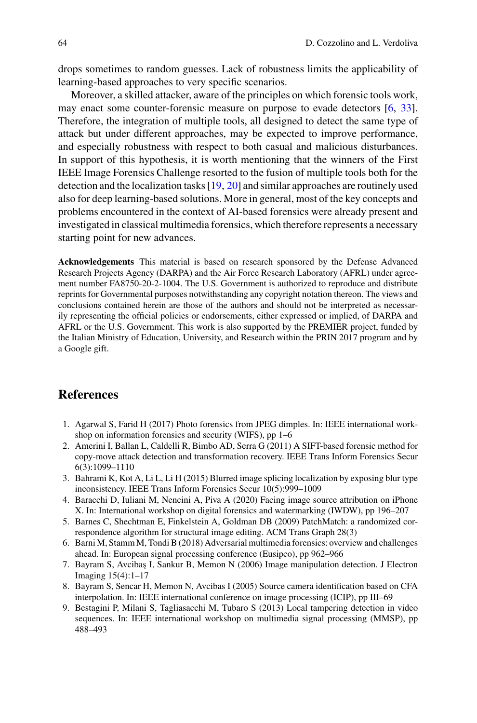drops sometimes to random guesses. Lack of robustness limits the applicability of learning-based approaches to very specific scenarios.

Moreover, a skilled attacker, aware of the principles on which forensic tools work, may enact some counter-forensic measure on purpose to evade detectors [\[6,](#page-19-8) [33](#page-21-24)]. Therefore, the integration of multiple tools, all designed to detect the same type of attack but under different approaches, may be expected to improve performance, and especially robustness with respect to both casual and malicious disturbances. In support of this hypothesis, it is worth mentioning that the winners of the First IEEE Image Forensics Challenge resorted to the fusion of multiple tools both for the detection and the localization tasks [\[19](#page-20-11), [20](#page-20-2)] and similar approaches are routinely used also for deep learning-based solutions. More in general, most of the key concepts and problems encountered in the context of AI-based forensics were already present and investigated in classical multimedia forensics, which therefore represents a necessary starting point for new advances.

**Acknowledgements** This material is based on research sponsored by the Defense Advanced Research Projects Agency (DARPA) and the Air Force Research Laboratory (AFRL) under agreement number FA8750-20-2-1004. The U.S. Government is authorized to reproduce and distribute reprints for Governmental purposes notwithstanding any copyright notation thereon. The views and conclusions contained herein are those of the authors and should not be interpreted as necessarily representing the official policies or endorsements, either expressed or implied, of DARPA and AFRL or the U.S. Government. This work is also supported by the PREMIER project, funded by the Italian Ministry of Education, University, and Research within the PRIN 2017 program and by a Google gift.

## **References**

- <span id="page-19-1"></span>1. Agarwal S, Farid H (2017) Photo forensics from JPEG dimples. In: IEEE international workshop on information forensics and security (WIFS), pp 1–6
- <span id="page-19-3"></span>2. Amerini I, Ballan L, Caldelli R, Bimbo AD, Serra G (2011) A SIFT-based forensic method for copy-move attack detection and transformation recovery. IEEE Trans Inform Forensics Secur 6(3):1099–1110
- <span id="page-19-2"></span>3. Bahrami K, Kot A, Li L, Li H (2015) Blurred image splicing localization by exposing blur type inconsistency. IEEE Trans Inform Forensics Secur 10(5):999–1009
- <span id="page-19-7"></span>4. Baracchi D, Iuliani M, Nencini A, Piva A (2020) Facing image source attribution on iPhone X. In: International workshop on digital forensics and watermarking (IWDW), pp 196–207
- <span id="page-19-4"></span>5. Barnes C, Shechtman E, Finkelstein A, Goldman DB (2009) PatchMatch: a randomized correspondence algorithm for structural image editing. ACM Trans Graph 28(3)
- <span id="page-19-8"></span>6. Barni M, Stamm M, Tondi B (2018) Adversarial multimedia forensics: overview and challenges ahead. In: European signal processing conference (Eusipco), pp 962–966
- <span id="page-19-6"></span>7. Bayram S, Avcibaş I, Sankur B, Memon N (2006) Image manipulation detection. J Electron Imaging 15(4):1–17
- <span id="page-19-0"></span>8. Bayram S, Sencar H, Memon N, Avcibas I (2005) Source camera identification based on CFA interpolation. In: IEEE international conference on image processing (ICIP), pp III–69
- <span id="page-19-5"></span>9. Bestagini P, Milani S, Tagliasacchi M, Tubaro S (2013) Local tampering detection in video sequences. In: IEEE international workshop on multimedia signal processing (MMSP), pp 488–493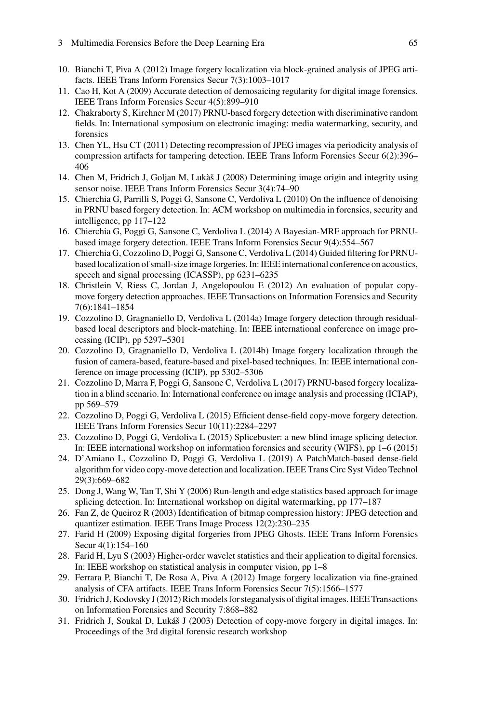- 3 Multimedia Forensics Before the Deep Learning Era 65
- <span id="page-20-13"></span>10. Bianchi T, Piva A (2012) Image forgery localization via block-grained analysis of JPEG artifacts. IEEE Trans Inform Forensics Secur 7(3):1003–1017
- <span id="page-20-7"></span>11. Cao H, Kot A (2009) Accurate detection of demosaicing regularity for digital image forensics. IEEE Trans Inform Forensics Secur 4(5):899–910
- <span id="page-20-1"></span>12. Chakraborty S, Kirchner M (2017) PRNU-based forgery detection with discriminative random fields. In: International symposium on electronic imaging: media watermarking, security, and forensics
- <span id="page-20-14"></span>13. Chen YL, Hsu CT (2011) Detecting recompression of JPEG images via periodicity analysis of compression artifacts for tampering detection. IEEE Trans Inform Forensics Secur 6(2):396– 406
- <span id="page-20-4"></span>14. Chen M, Fridrich J, Goljan M, Lukàš J (2008) Determining image origin and integrity using sensor noise. IEEE Trans Inform Forensics Secur 3(4):74–90
- <span id="page-20-5"></span>15. Chierchia G, Parrilli S, Poggi G, Sansone C, Verdoliva L (2010) On the influence of denoising in PRNU based forgery detection. In: ACM workshop on multimedia in forensics, security and intelligence, pp 117–122
- <span id="page-20-0"></span>16. Chierchia G, Poggi G, Sansone C, Verdoliva L (2014) A Bayesian-MRF approach for PRNUbased image forgery detection. IEEE Trans Inform Forensics Secur 9(4):554–567
- <span id="page-20-6"></span>17. Chierchia G, Cozzolino D, Poggi G, Sansone C, Verdoliva L (2014) Guided filtering for PRNUbased localization of small-size image forgeries. In: IEEE international conference on acoustics, speech and signal processing (ICASSP), pp 6231–6235
- <span id="page-20-18"></span>18. Christlein V, Riess C, Jordan J, Angelopoulou E (2012) An evaluation of popular copymove forgery detection approaches. IEEE Transactions on Information Forensics and Security 7(6):1841–1854
- <span id="page-20-11"></span>19. Cozzolino D, Gragnaniello D, Verdoliva L (2014a) Image forgery detection through residualbased local descriptors and block-matching. In: IEEE international conference on image processing (ICIP), pp 5297–5301
- <span id="page-20-2"></span>20. Cozzolino D, Gragnaniello D, Verdoliva L (2014b) Image forgery localization through the fusion of camera-based, feature-based and pixel-based techniques. In: IEEE international conference on image processing (ICIP), pp 5302–5306
- <span id="page-20-3"></span>21. Cozzolino D, Marra F, Poggi G, Sansone C, Verdoliva L (2017) PRNU-based forgery localization in a blind scenario. In: International conference on image analysis and processing (ICIAP), pp 569–579
- <span id="page-20-19"></span>22. Cozzolino D, Poggi G, Verdoliva L (2015) Efficient dense-field copy-move forgery detection. IEEE Trans Inform Forensics Secur 10(11):2284–2297
- <span id="page-20-9"></span>23. Cozzolino D, Poggi G, Verdoliva L (2015) Splicebuster: a new blind image splicing detector. In: IEEE international workshop on information forensics and security (WIFS), pp 1–6 (2015)
- <span id="page-20-20"></span>24. D'Amiano L, Cozzolino D, Poggi G, Verdoliva L (2019) A PatchMatch-based dense-field algorithm for video copy-move detection and localization. IEEE Trans Circ Syst Video Technol 29(3):669–682
- <span id="page-20-16"></span>25. Dong J, Wang W, Tan T, Shi Y (2006) Run-length and edge statistics based approach for image splicing detection. In: International workshop on digital watermarking, pp 177–187
- <span id="page-20-12"></span>26. Fan Z, de Queiroz R (2003) Identification of bitmap compression history: JPEG detection and quantizer estimation. IEEE Trans Image Process 12(2):230–235
- <span id="page-20-15"></span>27. Farid H (2009) Exposing digital forgeries from JPEG Ghosts. IEEE Trans Inform Forensics Secur 4(1):154–160
- <span id="page-20-21"></span>28. Farid H, Lyu S (2003) Higher-order wavelet statistics and their application to digital forensics. In: IEEE workshop on statistical analysis in computer vision, pp 1–8
- <span id="page-20-8"></span>29. Ferrara P, Bianchi T, De Rosa A, Piva A (2012) Image forgery localization via fine-grained analysis of CFA artifacts. IEEE Trans Inform Forensics Secur 7(5):1566–1577
- <span id="page-20-10"></span>30. Fridrich J, Kodovsky J (2012) Rich models for steganalysis of digital images. IEEE Transactions on Information Forensics and Security 7:868–882
- <span id="page-20-17"></span>31. Fridrich J, Soukal D, Lukáš J (2003) Detection of copy-move forgery in digital images. In: Proceedings of the 3rd digital forensic research workshop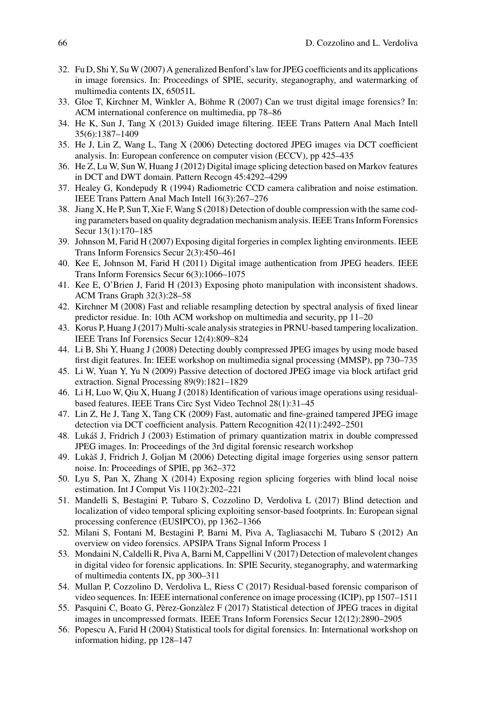- <span id="page-21-15"></span>32. Fu D, Shi Y, SuW (2007) A generalized Benford's law for JPEG coefficients and its applications in image forensics. In: Proceedings of SPIE, security, steganography, and watermarking of multimedia contents IX, 65051L
- <span id="page-21-24"></span>33. Gloe T, Kirchner M, Winkler A, Böhme R (2007) Can we trust digital image forensics? In: ACM international conference on multimedia, pp 78–86
- <span id="page-21-8"></span>34. He K, Sun J, Tang X (2013) Guided image filtering. IEEE Trans Pattern Anal Mach Intell 35(6):1387–1409
- <span id="page-21-20"></span>35. He J, Lin Z, Wang L, Tang X (2006) Detecting doctored JPEG images via DCT coefficient analysis. In: European conference on computer vision (ECCV), pp 425–435
- <span id="page-21-22"></span>36. He Z, Lu W, Sun W, Huang J (2012) Digital image splicing detection based on Markov features in DCT and DWT domain. Pattern Recogn 45:4292–4299
- <span id="page-21-7"></span>37. Healey G, Kondepudy R (1994) Radiometric CCD camera calibration and noise estimation. IEEE Trans Pattern Anal Mach Intell 16(3):267–276
- <span id="page-21-21"></span>38. Jiang X, He P, Sun T, Xie F, Wang S (2018) Detection of double compression with the same coding parameters based on quality degradation mechanism analysis. IEEE Trans Inform Forensics Secur 13(1):170–185
- <span id="page-21-0"></span>39. Johnson M, Farid H (2007) Exposing digital forgeries in complex lighting environments. IEEE Trans Inform Forensics Secur 2(3):450–461
- <span id="page-21-18"></span>40. Kee E, Johnson M, Farid H (2011) Digital image authentication from JPEG headers. IEEE Trans Inform Forensics Secur 6(3):1066–1075
- <span id="page-21-1"></span>41. Kee E, O'Brien J, Farid H (2013) Exposing photo manipulation with inconsistent shadows. ACM Trans Graph 32(3):28–58
- <span id="page-21-19"></span>42. Kirchner M (2008) Fast and reliable resampling detection by spectral analysis of fixed linear predictor residue. In: 10th ACM workshop on multimedia and security, pp 11–20
- <span id="page-21-4"></span>43. Korus P, Huang J (2017) Multi-scale analysis strategies in PRNU-based tampering localization. IEEE Trans Inf Forensics Secur 12(4):809–824
- <span id="page-21-16"></span>44. Li B, Shi Y, Huang J (2008) Detecting doubly compressed JPEG images by using mode based first digit features. In: IEEE workshop on multimedia signal processing (MMSP), pp 730–735
- <span id="page-21-12"></span>45. Li W, Yuan Y, Yu N (2009) Passive detection of doctored JPEG image via block artifact grid extraction. Signal Processing 89(9):1821–1829
- <span id="page-21-23"></span>46. Li H, Luo W, Qiu X, Huang J (2018) Identification of various image operations using residualbased features. IEEE Trans Circ Syst Video Technol 28(1):31–45
- <span id="page-21-13"></span>47. Lin Z, He J, Tang X, Tang CK (2009) Fast, automatic and fine-grained tampered JPEG image detection via DCT coefficient analysis. Pattern Recognition 42(11):2492–2501
- <span id="page-21-14"></span>48. Lukáš J, Fridrich J (2003) Estimation of primary quantization matrix in double compressed JPEG images. In: Proceedings of the 3rd digital forensic research workshop
- <span id="page-21-3"></span>49. Lukàš J, Fridrich J, Goljan M (2006) Detecting digital image forgeries using sensor pattern noise. In: Proceedings of SPIE, pp 362–372
- <span id="page-21-9"></span>50. Lyu S, Pan X, Zhang X (2014) Exposing region splicing forgeries with blind local noise estimation. Int J Comput Vis 110(2):202–221
- <span id="page-21-5"></span>51. Mandelli S, Bestagini P, Tubaro S, Cozzolino D, Verdoliva L (2017) Blind detection and localization of video temporal splicing exploiting sensor-based footprints. In: European signal processing conference (EUSIPCO), pp 1362–1366
- <span id="page-21-2"></span>52. Milani S, Fontani M, Bestagini P, Barni M, Piva A, Tagliasacchi M, Tubaro S (2012) An overview on video forensics. APSIPA Trans Signal Inform Process 1
- <span id="page-21-6"></span>53. Mondaini N, Caldelli R, Piva A, Barni M, Cappellini V (2017) Detection of malevolent changes in digital video for forensic applications. In: SPIE Security, steganography, and watermarking of multimedia contents IX, pp 300–311
- <span id="page-21-11"></span>54. Mullan P, Cozzolino D, Verdoliva L, Riess C (2017) Residual-based forensic comparison of video sequences. In: IEEE international conference on image processing (ICIP), pp 1507–1511
- <span id="page-21-17"></span>55. Pasquini C, Boato G, Pèrez-Gonzàlez F (2017) Statistical detection of JPEG traces in digital images in uncompressed formats. IEEE Trans Inform Forensics Secur 12(12):2890–2905
- <span id="page-21-10"></span>56. Popescu A, Farid H (2004) Statistical tools for digital forensics. In: International workshop on information hiding, pp 128–147